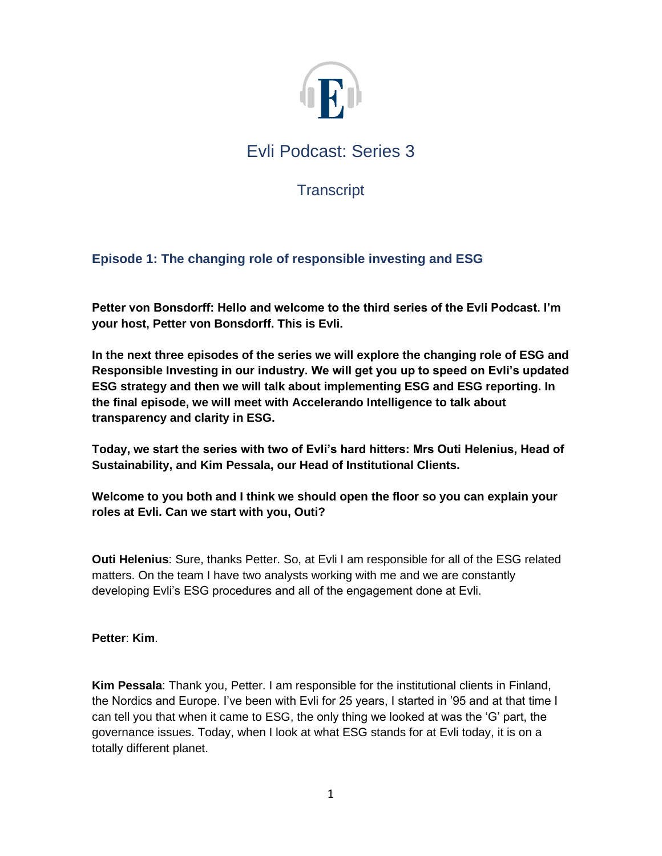

**Transcript** 

# **Episode 1: The changing role of responsible investing and ESG**

**Petter von Bonsdorff: Hello and welcome to the third series of the Evli Podcast. I'm your host, Petter von Bonsdorff. This is Evli.** 

**In the next three episodes of the series we will explore the changing role of ESG and Responsible Investing in our industry. We will get you up to speed on Evli's updated ESG strategy and then we will talk about implementing ESG and ESG reporting. In the final episode, we will meet with Accelerando Intelligence to talk about transparency and clarity in ESG.**

**Today, we start the series with two of Evli's hard hitters: Mrs Outi Helenius, Head of Sustainability, and Kim Pessala, our Head of Institutional Clients.**

**Welcome to you both and I think we should open the floor so you can explain your roles at Evli. Can we start with you, Outi?**

**Outi Helenius**: Sure, thanks Petter. So, at Evli I am responsible for all of the ESG related matters. On the team I have two analysts working with me and we are constantly developing Evli's ESG procedures and all of the engagement done at Evli.

**Petter**: **Kim**.

**Kim Pessala**: Thank you, Petter. I am responsible for the institutional clients in Finland, the Nordics and Europe. I've been with Evli for 25 years, I started in '95 and at that time I can tell you that when it came to ESG, the only thing we looked at was the 'G' part, the governance issues. Today, when I look at what ESG stands for at Evli today, it is on a totally different planet.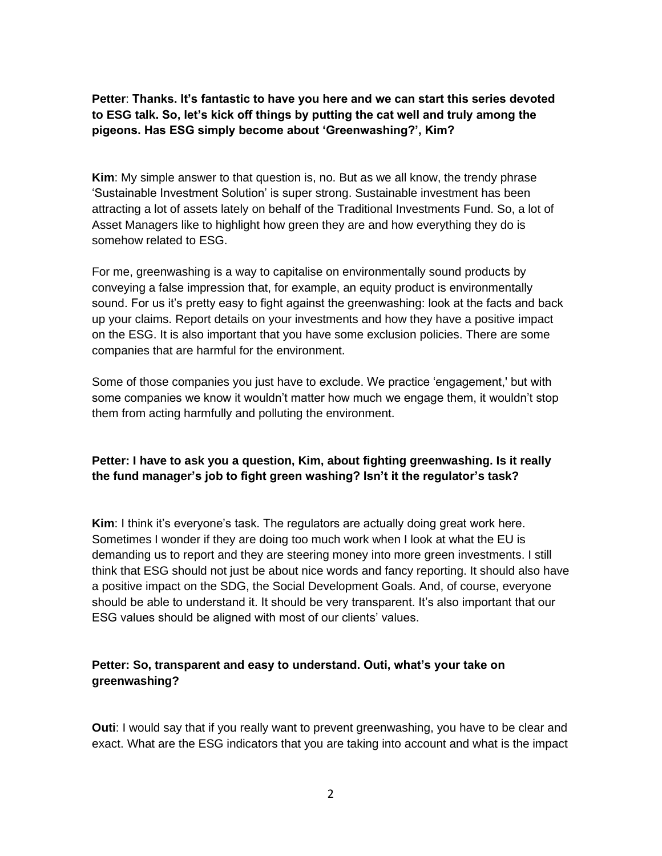**Petter**: **Thanks. It's fantastic to have you here and we can start this series devoted to ESG talk. So, let's kick off things by putting the cat well and truly among the pigeons. Has ESG simply become about 'Greenwashing?', Kim?**

**Kim**: My simple answer to that question is, no. But as we all know, the trendy phrase 'Sustainable Investment Solution' is super strong. Sustainable investment has been attracting a lot of assets lately on behalf of the Traditional Investments Fund. So, a lot of Asset Managers like to highlight how green they are and how everything they do is somehow related to ESG.

For me, greenwashing is a way to capitalise on environmentally sound products by conveying a false impression that, for example, an equity product is environmentally sound. For us it's pretty easy to fight against the greenwashing: look at the facts and back up your claims. Report details on your investments and how they have a positive impact on the ESG. It is also important that you have some exclusion policies. There are some companies that are harmful for the environment.

Some of those companies you just have to exclude. We practice 'engagement,' but with some companies we know it wouldn't matter how much we engage them, it wouldn't stop them from acting harmfully and polluting the environment.

## **Petter: I have to ask you a question, Kim, about fighting greenwashing. Is it really the fund manager's job to fight green washing? Isn't it the regulator's task?**

**Kim**: I think it's everyone's task. The regulators are actually doing great work here. Sometimes I wonder if they are doing too much work when I look at what the EU is demanding us to report and they are steering money into more green investments. I still think that ESG should not just be about nice words and fancy reporting. It should also have a positive impact on the SDG, the Social Development Goals. And, of course, everyone should be able to understand it. It should be very transparent. It's also important that our ESG values should be aligned with most of our clients' values.

### **Petter: So, transparent and easy to understand. Outi, what's your take on greenwashing?**

**Outi**: I would say that if you really want to prevent greenwashing, you have to be clear and exact. What are the ESG indicators that you are taking into account and what is the impact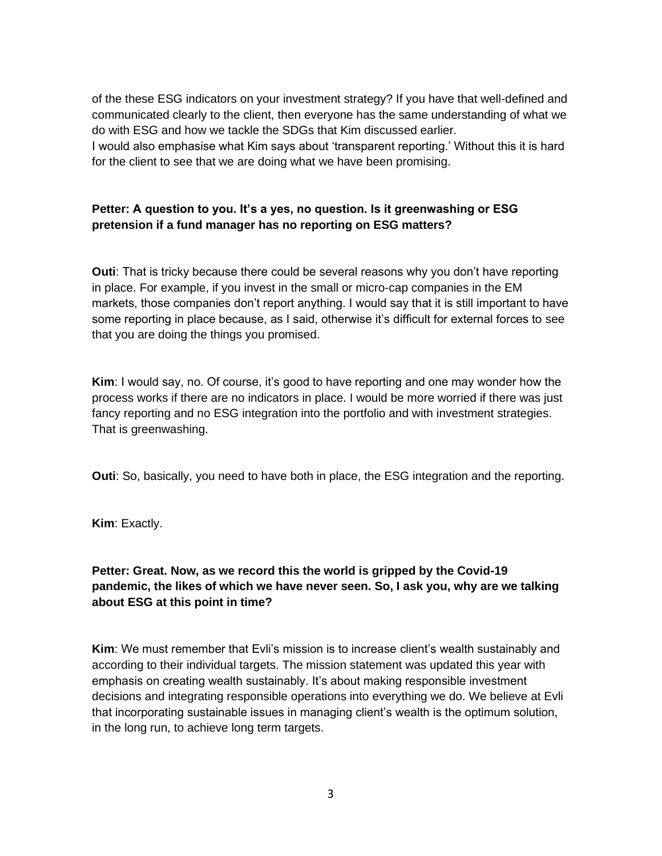of the these ESG indicators on your investment strategy? If you have that well-defined and communicated clearly to the client, then everyone has the same understanding of what we do with ESG and how we tackle the SDGs that Kim discussed earlier. I would also emphasise what Kim says about 'transparent reporting.' Without this it is hard for the client to see that we are doing what we have been promising.

## **Petter: A question to you. It's a yes, no question. Is it greenwashing or ESG pretension if a fund manager has no reporting on ESG matters?**

**Outi**: That is tricky because there could be several reasons why you don't have reporting in place. For example, if you invest in the small or micro-cap companies in the EM markets, those companies don't report anything. I would say that it is still important to have some reporting in place because, as I said, otherwise it's difficult for external forces to see that you are doing the things you promised.

**Kim**: I would say, no. Of course, it's good to have reporting and one may wonder how the process works if there are no indicators in place. I would be more worried if there was just fancy reporting and no ESG integration into the portfolio and with investment strategies. That is greenwashing.

**Outi**: So, basically, you need to have both in place, the ESG integration and the reporting.

**Kim**: Exactly.

## **Petter: Great. Now, as we record this the world is gripped by the Covid-19 pandemic, the likes of which we have never seen. So, I ask you, why are we talking about ESG at this point in time?**

**Kim**: We must remember that Evli's mission is to increase client's wealth sustainably and according to their individual targets. The mission statement was updated this year with emphasis on creating wealth sustainably. It's about making responsible investment decisions and integrating responsible operations into everything we do. We believe at Evli that incorporating sustainable issues in managing client's wealth is the optimum solution, in the long run, to achieve long term targets.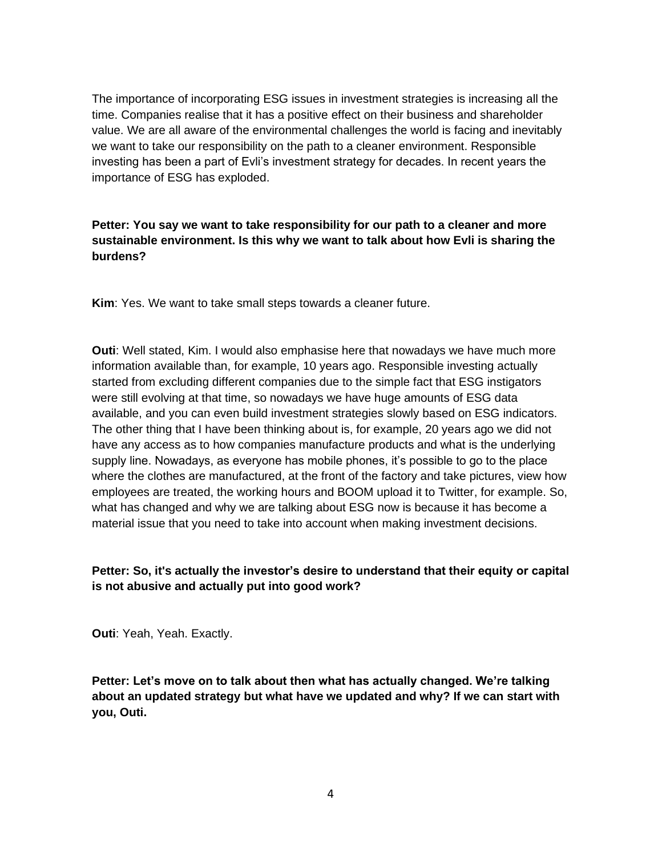The importance of incorporating ESG issues in investment strategies is increasing all the time. Companies realise that it has a positive effect on their business and shareholder value. We are all aware of the environmental challenges the world is facing and inevitably we want to take our responsibility on the path to a cleaner environment. Responsible investing has been a part of Evli's investment strategy for decades. In recent years the importance of ESG has exploded.

## **Petter: You say we want to take responsibility for our path to a cleaner and more sustainable environment. Is this why we want to talk about how Evli is sharing the burdens?**

**Kim**: Yes. We want to take small steps towards a cleaner future.

**Outi**: Well stated, Kim. I would also emphasise here that nowadays we have much more information available than, for example, 10 years ago. Responsible investing actually started from excluding different companies due to the simple fact that ESG instigators were still evolving at that time, so nowadays we have huge amounts of ESG data available, and you can even build investment strategies slowly based on ESG indicators. The other thing that I have been thinking about is, for example, 20 years ago we did not have any access as to how companies manufacture products and what is the underlying supply line. Nowadays, as everyone has mobile phones, it's possible to go to the place where the clothes are manufactured, at the front of the factory and take pictures, view how employees are treated, the working hours and BOOM upload it to Twitter, for example. So, what has changed and why we are talking about ESG now is because it has become a material issue that you need to take into account when making investment decisions.

# **Petter: So, it's actually the investor's desire to understand that their equity or capital is not abusive and actually put into good work?**

**Outi**: Yeah, Yeah. Exactly.

**Petter: Let's move on to talk about then what has actually changed. We're talking about an updated strategy but what have we updated and why? If we can start with you, Outi.**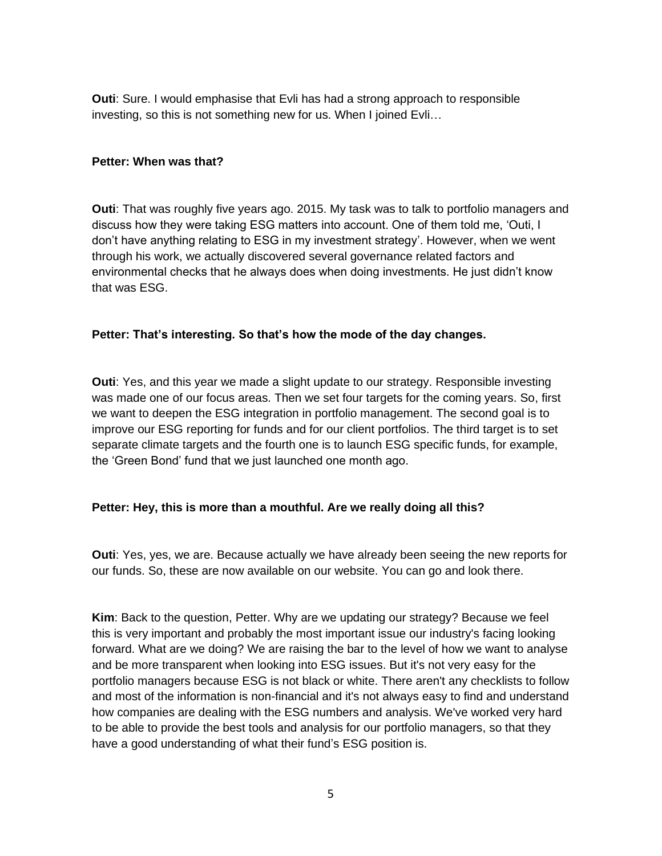**Outi**: Sure. I would emphasise that Evli has had a strong approach to responsible investing, so this is not something new for us. When I joined Evli…

#### **Petter: When was that?**

**Outi**: That was roughly five years ago. 2015. My task was to talk to portfolio managers and discuss how they were taking ESG matters into account. One of them told me, 'Outi, I don't have anything relating to ESG in my investment strategy'. However, when we went through his work, we actually discovered several governance related factors and environmental checks that he always does when doing investments. He just didn't know that was ESG.

### **Petter: That's interesting. So that's how the mode of the day changes.**

**Outi**: Yes, and this year we made a slight update to our strategy. Responsible investing was made one of our focus areas. Then we set four targets for the coming years. So, first we want to deepen the ESG integration in portfolio management. The second goal is to improve our ESG reporting for funds and for our client portfolios. The third target is to set separate climate targets and the fourth one is to launch ESG specific funds, for example, the 'Green Bond' fund that we just launched one month ago.

### **Petter: Hey, this is more than a mouthful. Are we really doing all this?**

**Outi**: Yes, yes, we are. Because actually we have already been seeing the new reports for our funds. So, these are now available on our website. You can go and look there.

**Kim**: Back to the question, Petter. Why are we updating our strategy? Because we feel this is very important and probably the most important issue our industry's facing looking forward. What are we doing? We are raising the bar to the level of how we want to analyse and be more transparent when looking into ESG issues. But it's not very easy for the portfolio managers because ESG is not black or white. There aren't any checklists to follow and most of the information is non-financial and it's not always easy to find and understand how companies are dealing with the ESG numbers and analysis. We've worked very hard to be able to provide the best tools and analysis for our portfolio managers, so that they have a good understanding of what their fund's ESG position is.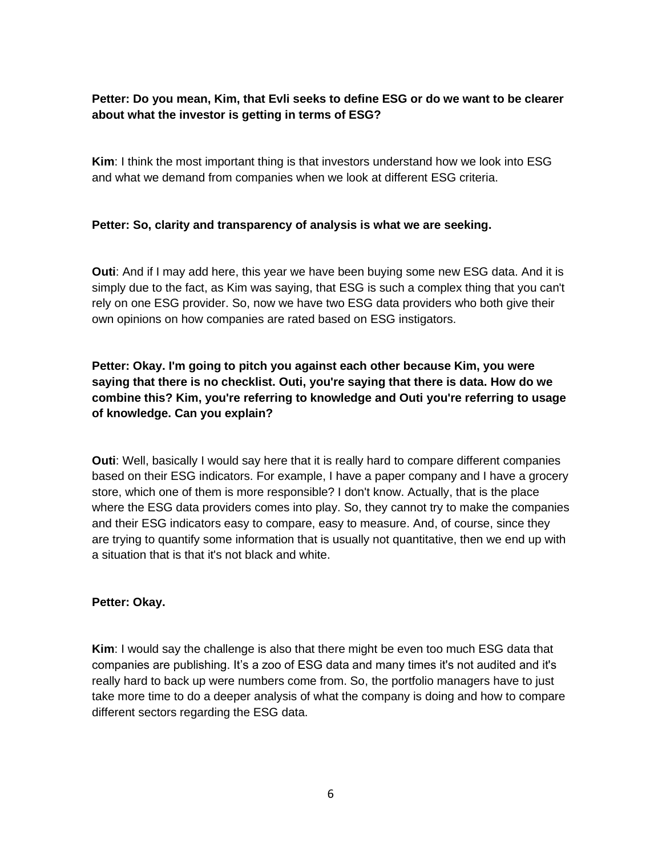## **Petter: Do you mean, Kim, that Evli seeks to define ESG or do we want to be clearer about what the investor is getting in terms of ESG?**

**Kim**: I think the most important thing is that investors understand how we look into ESG and what we demand from companies when we look at different ESG criteria.

### **Petter: So, clarity and transparency of analysis is what we are seeking.**

**Outi**: And if I may add here, this year we have been buying some new ESG data. And it is simply due to the fact, as Kim was saying, that ESG is such a complex thing that you can't rely on one ESG provider. So, now we have two ESG data providers who both give their own opinions on how companies are rated based on ESG instigators.

# **Petter: Okay. I'm going to pitch you against each other because Kim, you were saying that there is no checklist. Outi, you're saying that there is data. How do we combine this? Kim, you're referring to knowledge and Outi you're referring to usage of knowledge. Can you explain?**

**Outi**: Well, basically I would say here that it is really hard to compare different companies based on their ESG indicators. For example, I have a paper company and I have a grocery store, which one of them is more responsible? I don't know. Actually, that is the place where the ESG data providers comes into play. So, they cannot try to make the companies and their ESG indicators easy to compare, easy to measure. And, of course, since they are trying to quantify some information that is usually not quantitative, then we end up with a situation that is that it's not black and white.

### **Petter: Okay.**

**Kim**: I would say the challenge is also that there might be even too much ESG data that companies are publishing. It's a zoo of ESG data and many times it's not audited and it's really hard to back up were numbers come from. So, the portfolio managers have to just take more time to do a deeper analysis of what the company is doing and how to compare different sectors regarding the ESG data.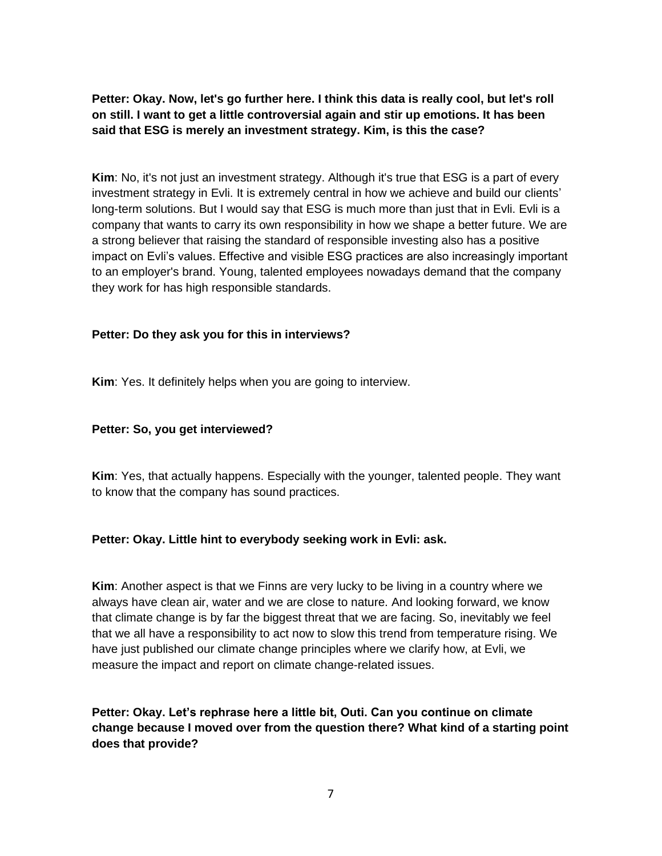**Petter: Okay. Now, let's go further here. I think this data is really cool, but let's roll on still. I want to get a little controversial again and stir up emotions. It has been said that ESG is merely an investment strategy. Kim, is this the case?**

**Kim**: No, it's not just an investment strategy. Although it's true that ESG is a part of every investment strategy in Evli. It is extremely central in how we achieve and build our clients' long-term solutions. But I would say that ESG is much more than just that in Evli. Evli is a company that wants to carry its own responsibility in how we shape a better future. We are a strong believer that raising the standard of responsible investing also has a positive impact on Evli's values. Effective and visible ESG practices are also increasingly important to an employer's brand. Young, talented employees nowadays demand that the company they work for has high responsible standards.

### **Petter: Do they ask you for this in interviews?**

**Kim**: Yes. It definitely helps when you are going to interview.

### **Petter: So, you get interviewed?**

**Kim**: Yes, that actually happens. Especially with the younger, talented people. They want to know that the company has sound practices.

### **Petter: Okay. Little hint to everybody seeking work in Evli: ask.**

**Kim**: Another aspect is that we Finns are very lucky to be living in a country where we always have clean air, water and we are close to nature. And looking forward, we know that climate change is by far the biggest threat that we are facing. So, inevitably we feel that we all have a responsibility to act now to slow this trend from temperature rising. We have just published our climate change principles where we clarify how, at Evli, we measure the impact and report on climate change-related issues.

# **Petter: Okay. Let's rephrase here a little bit, Outi. Can you continue on climate change because I moved over from the question there? What kind of a starting point does that provide?**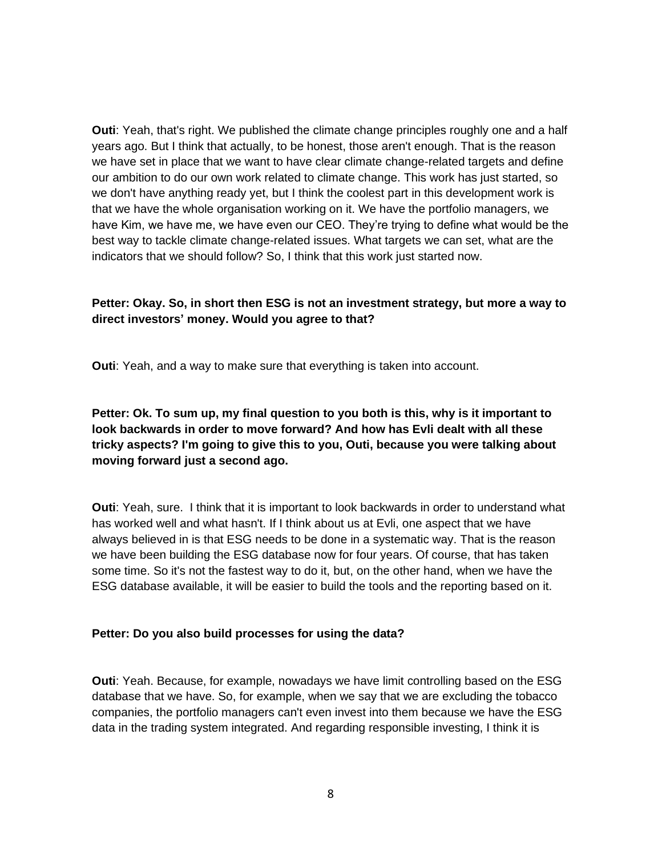**Outi:** Yeah, that's right. We published the climate change principles roughly one and a half years ago. But I think that actually, to be honest, those aren't enough. That is the reason we have set in place that we want to have clear climate change-related targets and define our ambition to do our own work related to climate change. This work has just started, so we don't have anything ready yet, but I think the coolest part in this development work is that we have the whole organisation working on it. We have the portfolio managers, we have Kim, we have me, we have even our CEO. They're trying to define what would be the best way to tackle climate change-related issues. What targets we can set, what are the indicators that we should follow? So, I think that this work just started now.

### **Petter: Okay. So, in short then ESG is not an investment strategy, but more a way to direct investors' money. Would you agree to that?**

**Outi**: Yeah, and a way to make sure that everything is taken into account.

## **Petter: Ok. To sum up, my final question to you both is this, why is it important to look backwards in order to move forward? And how has Evli dealt with all these tricky aspects? I'm going to give this to you, Outi, because you were talking about moving forward just a second ago.**

**Outi**: Yeah, sure. I think that it is important to look backwards in order to understand what has worked well and what hasn't. If I think about us at Evli, one aspect that we have always believed in is that ESG needs to be done in a systematic way. That is the reason we have been building the ESG database now for four years. Of course, that has taken some time. So it's not the fastest way to do it, but, on the other hand, when we have the ESG database available, it will be easier to build the tools and the reporting based on it.

### **Petter: Do you also build processes for using the data?**

**Outi**: Yeah. Because, for example, nowadays we have limit controlling based on the ESG database that we have. So, for example, when we say that we are excluding the tobacco companies, the portfolio managers can't even invest into them because we have the ESG data in the trading system integrated. And regarding responsible investing, I think it is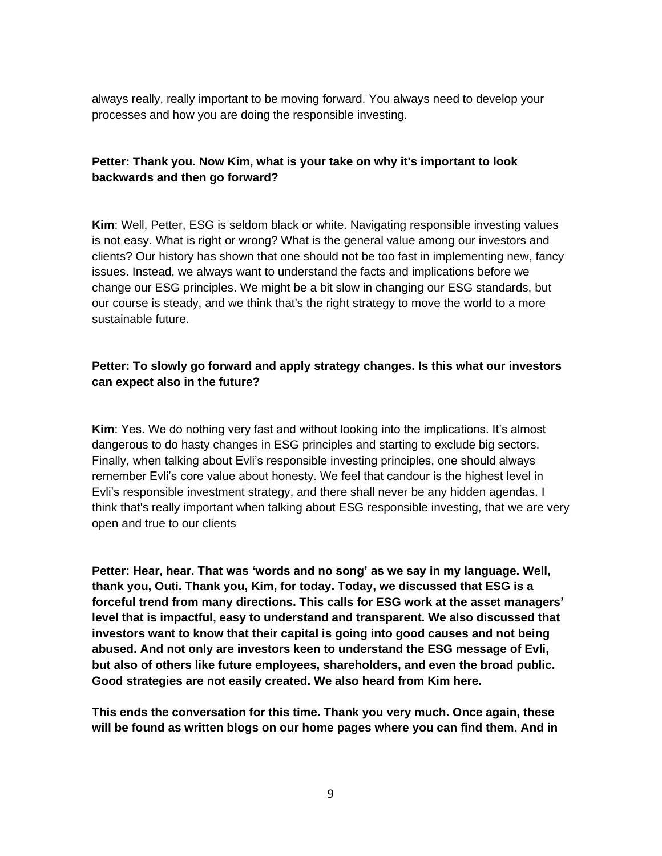always really, really important to be moving forward. You always need to develop your processes and how you are doing the responsible investing.

### **Petter: Thank you. Now Kim, what is your take on why it's important to look backwards and then go forward?**

**Kim**: Well, Petter, ESG is seldom black or white. Navigating responsible investing values is not easy. What is right or wrong? What is the general value among our investors and clients? Our history has shown that one should not be too fast in implementing new, fancy issues. Instead, we always want to understand the facts and implications before we change our ESG principles. We might be a bit slow in changing our ESG standards, but our course is steady, and we think that's the right strategy to move the world to a more sustainable future.

## **Petter: To slowly go forward and apply strategy changes. Is this what our investors can expect also in the future?**

**Kim**: Yes. We do nothing very fast and without looking into the implications. It's almost dangerous to do hasty changes in ESG principles and starting to exclude big sectors. Finally, when talking about Evli's responsible investing principles, one should always remember Evli's core value about honesty. We feel that candour is the highest level in Evli's responsible investment strategy, and there shall never be any hidden agendas. I think that's really important when talking about ESG responsible investing, that we are very open and true to our clients

**Petter: Hear, hear. That was 'words and no song' as we say in my language. Well, thank you, Outi. Thank you, Kim, for today. Today, we discussed that ESG is a forceful trend from many directions. This calls for ESG work at the asset managers' level that is impactful, easy to understand and transparent. We also discussed that investors want to know that their capital is going into good causes and not being abused. And not only are investors keen to understand the ESG message of Evli, but also of others like future employees, shareholders, and even the broad public. Good strategies are not easily created. We also heard from Kim here.**

**This ends the conversation for this time. Thank you very much. Once again, these will be found as written blogs on our home pages where you can find them. And in**